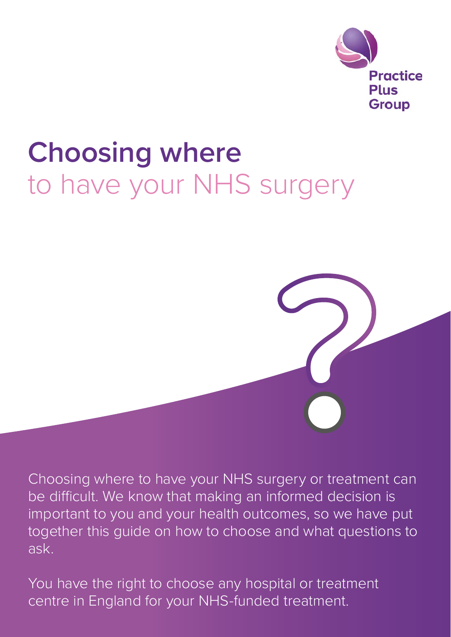

# **Choosing where** to have your NHS surgery

Choosing where to have your NHS surgery or treatment can be difficult. We know that making an informed decision is important to you and your health outcomes, so we have put together this guide on how to choose and what questions to ask.

You have the right to choose any hospital or treatment centre in England for your NHS-funded treatment.